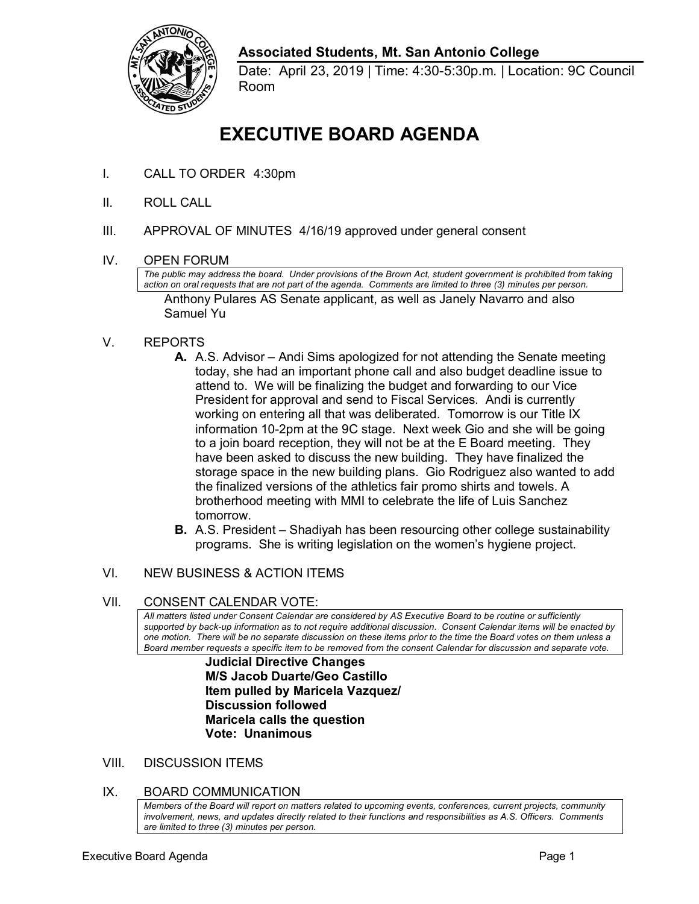

## **Associated Students, Mt. San Antonio College**

 Date: April 23, 2019 | Time: 4:30-5:30p.m. | Location: 9C Council Room

# **EXECUTIVE BOARD AGENDA**

- I. CALL TO ORDER 4:30pm
- II. ROLL CALL
- III. APPROVAL OF MINUTES 4/16/19 approved under general consent
- IV. OPEN FORUM

 *action on oral requests that are not part of the agenda. Comments are limited to three (3) minutes per person.*  Anthony Pulares AS Senate applicant, as well as Janely Navarro and also *The public may address the board. Under provisions of the Brown Act, student government is prohibited from taking*  Samuel Yu

- V. REPORTS
	- **A.** A.S. Advisor Andi Sims apologized for not attending the Senate meeting attend to. We will be finalizing the budget and forwarding to our Vice President for approval and send to Fiscal Services. Andi is currently working on entering all that was deliberated. Tomorrow is our Title IX to a join board reception, they will not be at the E Board meeting. They storage space in the new building plans. Gio Rodriguez also wanted to add the finalized versions of the athletics fair promo shirts and towels. A tomorrow. today, she had an important phone call and also budget deadline issue to information 10-2pm at the 9C stage. Next week Gio and she will be going have been asked to discuss the new building. They have finalized the brotherhood meeting with MMI to celebrate the life of Luis Sanchez
	- **B.** A.S. President Shadiyah has been resourcing other college sustainability programs. She is writing legislation on the women's hygiene project.

# VI. NEW BUSINESS & ACTION ITEMS<br>VII. CONSENT CALENDAR VOTE:

 *All matters listed under Consent Calendar are considered by AS Executive Board to be routine or sufficiently supported by back-up information as to not require additional discussion. Consent Calendar items will be enacted by one motion. There will be no separate discussion on these items prior to the time the Board votes on them unless a Board member requests a specific item to be removed from the consent Calendar for discussion and separate vote.* 

> **Judicial Directive Changes M/S Jacob Duarte/Geo Castillo Item pulled by Maricela Vazquez/ Discussion followed Maricela calls the question Vote: Unanimous**

VIII. DISCUSSION ITEMS

### IX. BOARD COMMUNICATION

 *involvement, news, and updates directly related to their functions and responsibilities as A.S. Officers. Comments are limited to three (3) minutes per person. Members of the Board will report on matters related to upcoming events, conferences, current projects, community*